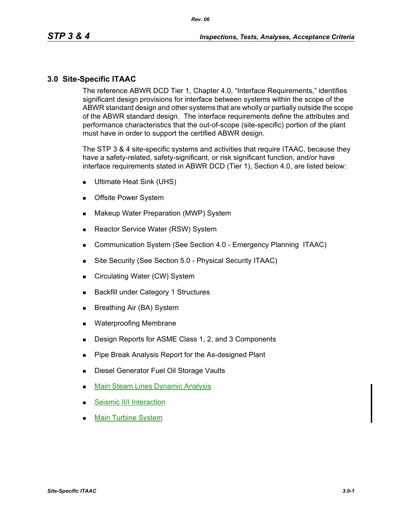#### **3.0 Site-Specific ITAAC**

The reference ABWR DCD Tier 1, Chapter 4.0, "Interface Requirements," identifies significant design provisions for interface between systems within the scope of the ABWR standard design and other systems that are wholly or partially outside the scope of the ABWR standard design. The interface requirements define the attributes and performance characteristics that the out-of-scope (site-specific) portion of the plant must have in order to support the certified ABWR design.

The STP 3 & 4 site-specific systems and activities that require ITAAC, because they have a safety-related, safety-significant, or risk significant function, and/or have interface requirements stated in ABWR DCD (Tier 1), Section 4.0, are listed below:

- Ultimate Heat Sink (UHS)
- **Deta** Offsite Power System
- **Makeup Water Preparation (MWP) System**
- Reactor Service Water (RSW) System
- **Communication System (See Section 4.0 Emergency Planning ITAAC)**
- Site Security (See Section 5.0 Physical Security ITAAC)
- Circulating Water (CW) System
- **Backfill under Category 1 Structures**
- Breathing Air (BA) System
- **Net Waterproofing Membrane**
- Design Reports for ASME Class 1, 2, and 3 Components
- **Pipe Break Analysis Report for the As-designed Plant**
- **Diesel Generator Fuel Oil Storage Vaults**
- **Main Steam Lines Dynamic Analysis**
- Seismic II/I Interaction
- Main Turbine System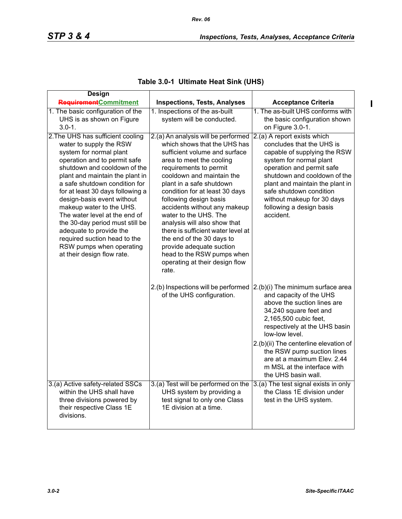| Table 3.0-1 Ultimate Heat Sink (UHS) |  |  |  |
|--------------------------------------|--|--|--|
|--------------------------------------|--|--|--|

| <b>Design</b>                                                                                                                                                                                                                                                                                                                                                                                                                                                                                                      |                                                                                                                                                                                                                                                                                                                                                                                                                                                                                                                                                  |                                                                                                                                                                                                                                                                                                                                                               |
|--------------------------------------------------------------------------------------------------------------------------------------------------------------------------------------------------------------------------------------------------------------------------------------------------------------------------------------------------------------------------------------------------------------------------------------------------------------------------------------------------------------------|--------------------------------------------------------------------------------------------------------------------------------------------------------------------------------------------------------------------------------------------------------------------------------------------------------------------------------------------------------------------------------------------------------------------------------------------------------------------------------------------------------------------------------------------------|---------------------------------------------------------------------------------------------------------------------------------------------------------------------------------------------------------------------------------------------------------------------------------------------------------------------------------------------------------------|
| <b>Requirement</b> Commitment                                                                                                                                                                                                                                                                                                                                                                                                                                                                                      | <b>Inspections, Tests, Analyses</b>                                                                                                                                                                                                                                                                                                                                                                                                                                                                                                              | <b>Acceptance Criteria</b>                                                                                                                                                                                                                                                                                                                                    |
| 1. The basic configuration of the                                                                                                                                                                                                                                                                                                                                                                                                                                                                                  | 1. Inspections of the as-built                                                                                                                                                                                                                                                                                                                                                                                                                                                                                                                   | 1. The as-built UHS conforms with                                                                                                                                                                                                                                                                                                                             |
| UHS is as shown on Figure                                                                                                                                                                                                                                                                                                                                                                                                                                                                                          | system will be conducted.                                                                                                                                                                                                                                                                                                                                                                                                                                                                                                                        | the basic configuration shown                                                                                                                                                                                                                                                                                                                                 |
| $3.0 - 1.$                                                                                                                                                                                                                                                                                                                                                                                                                                                                                                         |                                                                                                                                                                                                                                                                                                                                                                                                                                                                                                                                                  | on Figure 3.0-1.                                                                                                                                                                                                                                                                                                                                              |
| 2. The UHS has sufficient cooling<br>water to supply the RSW<br>system for normal plant<br>operation and to permit safe<br>shutdown and cooldown of the<br>plant and maintain the plant in<br>a safe shutdown condition for<br>for at least 30 days following a<br>design-basis event without<br>makeup water to the UHS.<br>The water level at the end of<br>the 30-day period must still be<br>adequate to provide the<br>required suction head to the<br>RSW pumps when operating<br>at their design flow rate. | 2.(a) An analysis will be performed<br>which shows that the UHS has<br>sufficient volume and surface<br>area to meet the cooling<br>requirements to permit<br>cooldown and maintain the<br>plant in a safe shutdown<br>condition for at least 30 days<br>following design basis<br>accidents without any makeup<br>water to the UHS. The<br>analysis will also show that<br>there is sufficient water level at<br>the end of the 30 days to<br>provide adequate suction<br>head to the RSW pumps when<br>operating at their design flow<br>rate. | 2.(a) A report exists which<br>concludes that the UHS is<br>capable of supplying the RSW<br>system for normal plant<br>operation and permit safe<br>shutdown and cooldown of the<br>plant and maintain the plant in<br>safe shutdown condition<br>without makeup for 30 days<br>following a design basis<br>accident.                                         |
|                                                                                                                                                                                                                                                                                                                                                                                                                                                                                                                    | 2.(b) Inspections will be performed<br>of the UHS configuration.                                                                                                                                                                                                                                                                                                                                                                                                                                                                                 | 2.(b)(i) The minimum surface area<br>and capacity of the UHS<br>above the suction lines are<br>34,240 square feet and<br>2,165,500 cubic feet,<br>respectively at the UHS basin<br>low-low level.<br>2.(b)(ii) The centerline elevation of<br>the RSW pump suction lines<br>are at a maximum Elev. 2.44<br>m MSL at the interface with<br>the UHS basin wall. |
| 3.(a) Active safety-related SSCs<br>within the UHS shall have<br>three divisions powered by<br>their respective Class 1E<br>divisions.                                                                                                                                                                                                                                                                                                                                                                             | 3.(a) Test will be performed on the<br>UHS system by providing a<br>test signal to only one Class<br>1E division at a time.                                                                                                                                                                                                                                                                                                                                                                                                                      | 3.(a) The test signal exists in only<br>the Class 1E division under<br>test in the UHS system.                                                                                                                                                                                                                                                                |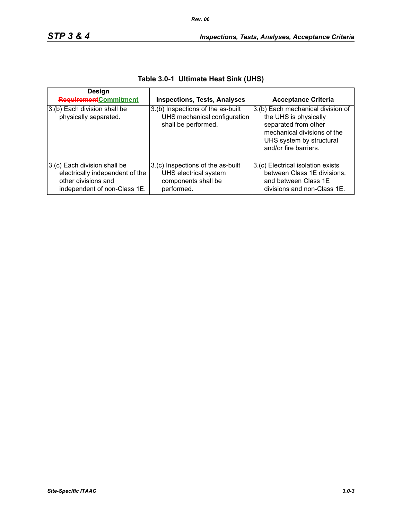| Design<br><b>Requirement</b> Commitment                                                                                | <b>Inspections, Tests, Analyses</b>                                                             | <b>Acceptance Criteria</b>                                                                                                                                             |
|------------------------------------------------------------------------------------------------------------------------|-------------------------------------------------------------------------------------------------|------------------------------------------------------------------------------------------------------------------------------------------------------------------------|
| 3.(b) Each division shall be<br>physically separated.                                                                  | 3.(b) Inspections of the as-built<br>UHS mechanical configuration<br>shall be performed.        | 3.(b) Each mechanical division of<br>the UHS is physically<br>separated from other<br>mechanical divisions of the<br>UHS system by structural<br>and/or fire barriers. |
| 3.(c) Each division shall be<br>electrically independent of the<br>other divisions and<br>independent of non-Class 1E. | 3.(c) Inspections of the as-built<br>UHS electrical system<br>components shall be<br>performed. | 3.(c) Electrical isolation exists<br>between Class 1E divisions,<br>and between Class 1E<br>divisions and non-Class 1E.                                                |

## **Table 3.0-1 Ultimate Heat Sink (UHS)**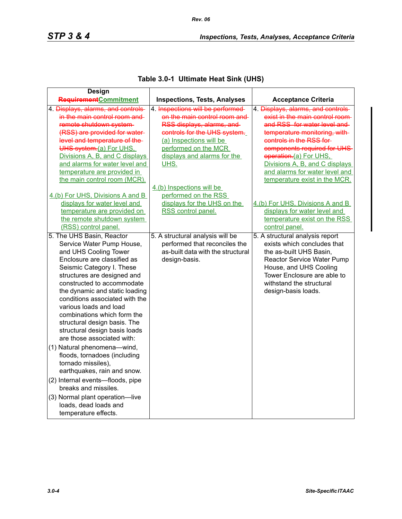|  | Table 3.0-1 Ultimate Heat Sink (UHS) |  |
|--|--------------------------------------|--|
|--|--------------------------------------|--|

| <b>Design</b>                      |                                     |                                    |
|------------------------------------|-------------------------------------|------------------------------------|
| RequirementCommitment              | <b>Inspections, Tests, Analyses</b> | <b>Acceptance Criteria</b>         |
| 4. Displays, alarms, and controls- | 4. Inspections will be performed    | 4. Displays, alarms, and controls- |
| in the main control room and       | on the main control room and        | exist in the main control room-    |
| remote shutdown system-            | RSS displays, alarms, and           | and RSS for water level and        |
| (RSS) are provided for water-      | controls for the UHS system.        | temperature monitoring, with-      |
| level and temperature of the-      | (a) Inspections will be             | controls in the RSS for-           |
| UHS system.(a) For UHS,            | performed on the MCR                | components required for UHS-       |
| Divisions A, B, and C displays     | displays and alarms for the         | operation-(a) For UHS.             |
| and alarms for water level and     | UHS.                                | Divisions A, B, and C displays     |
| temperature are provided in        |                                     | and alarms for water level and     |
| the main control room (MCR).       |                                     | temperature exist in the MCR.      |
|                                    | 4.(b) Inspections will be           |                                    |
| 4.(b) For UHS, Divisions A and B   | performed on the RSS                |                                    |
| displays for water level and       | displays for the UHS on the         | 4.(b) For UHS, Divisions A and B   |
| temperature are provided on        | RSS control panel.                  | displays for water level and       |
| the remote shutdown system         |                                     | temperature exist on the RSS       |
| (RSS) control panel.               |                                     | control panel.                     |
| 5. The UHS Basin, Reactor          | 5. A structural analysis will be    | 5. A structural analysis report    |
| Service Water Pump House,          | performed that reconciles the       | exists which concludes that        |
| and UHS Cooling Tower              | as-built data with the structural   | the as-built UHS Basin,            |
| Enclosure are classified as        | design-basis.                       | Reactor Service Water Pump         |
| Seismic Category I. These          |                                     | House, and UHS Cooling             |
| structures are designed and        |                                     | Tower Enclosure are able to        |
| constructed to accommodate         |                                     | withstand the structural           |
| the dynamic and static loading     |                                     | design-basis loads.                |
| conditions associated with the     |                                     |                                    |
| various loads and load             |                                     |                                    |
| combinations which form the        |                                     |                                    |
| structural design basis. The       |                                     |                                    |
| structural design basis loads      |                                     |                                    |
| are those associated with:         |                                     |                                    |
| (1) Natural phenomena-wind,        |                                     |                                    |
| floods, tornadoes (including       |                                     |                                    |
| tornado missiles),                 |                                     |                                    |
| earthquakes, rain and snow.        |                                     |                                    |
| (2) Internal events-floods, pipe   |                                     |                                    |
| breaks and missiles.               |                                     |                                    |
| (3) Normal plant operation-live    |                                     |                                    |
| loads, dead loads and              |                                     |                                    |
| temperature effects.               |                                     |                                    |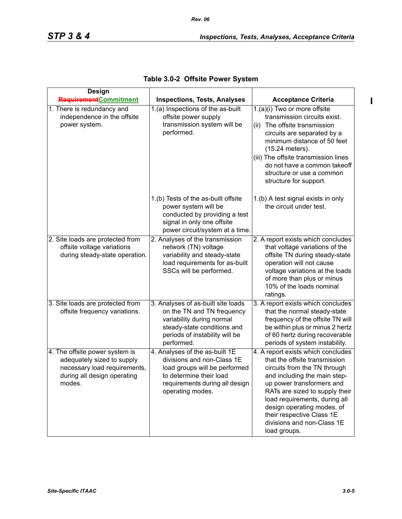| <b>Design</b>                                                                                                                         |                                                                                                                                                                                |                                                                                                                                                                                                                                                                                                                                              |
|---------------------------------------------------------------------------------------------------------------------------------------|--------------------------------------------------------------------------------------------------------------------------------------------------------------------------------|----------------------------------------------------------------------------------------------------------------------------------------------------------------------------------------------------------------------------------------------------------------------------------------------------------------------------------------------|
| <b>Requirement</b> Commitment                                                                                                         | <b>Inspections, Tests, Analyses</b>                                                                                                                                            | <b>Acceptance Criteria</b>                                                                                                                                                                                                                                                                                                                   |
| 1. There is redundancy and<br>independence in the offsite<br>power system.                                                            | 1.(a) Inspections of the as-built<br>offsite power supply<br>transmission system will be<br>performed.                                                                         | 1.(a)(i) Two or more offsite<br>transmission circuits exist.<br>(ii) The offsite transmission<br>circuits are separated by a<br>minimum distance of 50 feet<br>(15.24 meters).<br>(iii) The offsite transmission lines<br>do not have a common takeoff<br>structure or use a common<br>structure for support.                                |
|                                                                                                                                       | 1.(b) Tests of the as-built offsite<br>power system will be<br>conducted by providing a test<br>signal in only one offsite<br>power circuit/system at a time.                  | 1.(b) A test signal exists in only<br>the circuit under test.                                                                                                                                                                                                                                                                                |
| 2. Site loads are protected from<br>offsite voltage variations<br>during steady-state operation.                                      | 2. Analyses of the transmission<br>network (TN) voltage<br>variability and steady-state<br>load requirements for as-built<br>SSCs will be performed.                           | 2. A report exists which concludes<br>that voltage variations of the<br>offsite TN during steady-state<br>operation will not cause<br>voltage variations at the loads<br>of more than plus or minus<br>10% of the loads nominal<br>ratings.                                                                                                  |
| 3. Site loads are protected from<br>offsite frequency variations.                                                                     | 3. Analyses of as-built site loads<br>on the TN and TN frequency<br>variability during normal<br>steady-state conditions and<br>periods of instability will be<br>performed.   | 3. A report exists which concludes<br>that the normal steady-state<br>frequency of the offsite TN will<br>be within plus or minus 2 hertz<br>of 60 hertz during recoverable<br>periods of system instability.                                                                                                                                |
| 4. The offsite power system is<br>adequately sized to supply<br>necessary load requirements,<br>during all design operating<br>modes. | 4. Analyses of the as-built 1E<br>divisions and non-Class 1E<br>load groups will be performed<br>to determine their load<br>requirements during all design<br>operating modes. | 4. A report exists which concludes<br>that the offsite transmission<br>circuits from the TN through<br>and including the main step-<br>up power transformers and<br>RATs are sized to supply their<br>load requirements, during all<br>design operating modes, of<br>their respective Class 1E<br>divisions and non-Class 1E<br>load groups. |

| Table 3.0-2 Offsite Power System |  |  |  |
|----------------------------------|--|--|--|
|----------------------------------|--|--|--|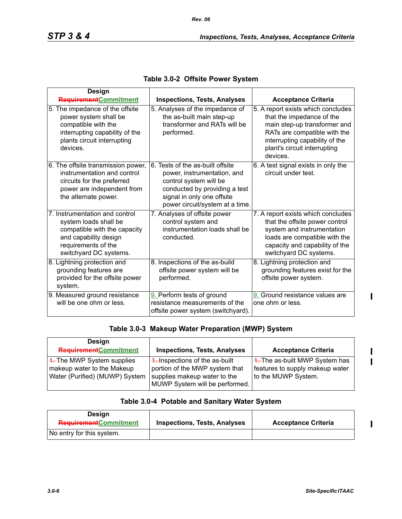| <b>Design</b>                                                                                                                                                     |                                                                                                                                                                                             |                                                                                                                                                                                                               |
|-------------------------------------------------------------------------------------------------------------------------------------------------------------------|---------------------------------------------------------------------------------------------------------------------------------------------------------------------------------------------|---------------------------------------------------------------------------------------------------------------------------------------------------------------------------------------------------------------|
| RequirementCommitment                                                                                                                                             | <b>Inspections, Tests, Analyses</b>                                                                                                                                                         | <b>Acceptance Criteria</b>                                                                                                                                                                                    |
| 5. The impedance of the offsite<br>power system shall be<br>compatible with the<br>interrupting capability of the<br>plants circuit interrupting<br>devices.      | 5. Analyses of the impedance of<br>the as-built main step-up<br>transformer and RATs will be<br>performed.                                                                                  | 5. A report exists which concludes<br>that the impedance of the<br>main step-up transformer and<br>RATs are compatible with the<br>interrupting capability of the<br>plant's circuit interrupting<br>devices. |
| 6. The offsite transmission power,<br>instrumentation and control<br>circuits for the preferred<br>power are independent from<br>the alternate power.             | 6. Tests of the as-built offsite<br>power, instrumentation, and<br>control system will be<br>conducted by providing a test<br>signal in only one offsite<br>power circuit/system at a time. | 6. A test signal exists in only the<br>circuit under test.                                                                                                                                                    |
| 7. Instrumentation and control<br>system loads shall be<br>compatible with the capacity<br>and capability design<br>requirements of the<br>switchyard DC systems. | 7. Analyses of offsite power<br>control system and<br>instrumentation loads shall be<br>conducted.                                                                                          | 7. A report exists which concludes<br>that the offsite power control<br>system and instrumentation<br>loads are compatible with the<br>capacity and capability of the<br>switchyard DC systems.               |
| 8. Lightning protection and<br>grounding features are<br>provided for the offsite power<br>system.                                                                | 8. Inspections of the as-build<br>offsite power system will be<br>performed.                                                                                                                | 8. Lightning protection and<br>grounding features exist for the<br>offsite power system.                                                                                                                      |
| 9. Measured ground resistance<br>will be one ohm or less.                                                                                                         | 9. Perform tests of ground<br>resistance measurements of the<br>offsite power system (switchyard).                                                                                          | 9. Ground resistance values are<br>one ohm or less.                                                                                                                                                           |

|  |  |  |  | Table 3.0-2 Offsite Power System |
|--|--|--|--|----------------------------------|
|--|--|--|--|----------------------------------|

## **Table 3.0-3 Makeup Water Preparation (MWP) System**

| Design<br><b>Requirement</b> Commitment                                                               | <b>Inspections, Tests, Analyses</b>                                                                                                           | <b>Acceptance Criteria</b>                                                                          |
|-------------------------------------------------------------------------------------------------------|-----------------------------------------------------------------------------------------------------------------------------------------------|-----------------------------------------------------------------------------------------------------|
| $\frac{4}{5}$ The MWP System supplies<br>makeup water to the Makeup<br>Water (Purified) (MUWP) System | $\frac{4}{1}$ Inspections of the as-built<br>portion of the MWP system that<br>supplies makeup water to the<br>MUWP System will be performed. | $\frac{4}{1}$ The as-built MWP System has<br>features to supply makeup water<br>to the MUWP System. |

## **Table 3.0-4 Potable and Sanitary Water System**

| Design<br><b>Requirement</b> Commitment | <b>Inspections, Tests, Analyses</b> | <b>Acceptance Criteria</b> |
|-----------------------------------------|-------------------------------------|----------------------------|
| No entry for this system.               |                                     |                            |

 $\mathbf{l}$ 

I  $\blacksquare$ 

 $\mathbf{I}$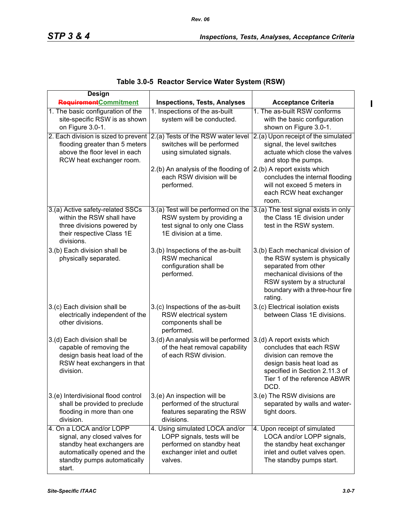| Table 3.0-5 Reactor Service Water System (RSW) |  |  |  |  |  |
|------------------------------------------------|--|--|--|--|--|
|------------------------------------------------|--|--|--|--|--|

| <b>Design</b>                                                                                                                                                     |                                                                                                                                     |                                                                                                                                                                                                      |
|-------------------------------------------------------------------------------------------------------------------------------------------------------------------|-------------------------------------------------------------------------------------------------------------------------------------|------------------------------------------------------------------------------------------------------------------------------------------------------------------------------------------------------|
| <b>Requirement</b> Commitment                                                                                                                                     | <b>Inspections, Tests, Analyses</b>                                                                                                 | <b>Acceptance Criteria</b>                                                                                                                                                                           |
| 1. The basic configuration of the<br>site-specific RSW is as shown<br>on Figure 3.0-1.                                                                            | 1. Inspections of the as-built<br>system will be conducted.                                                                         | 1. The as-built RSW conforms<br>with the basic configuration<br>shown on Figure 3.0-1.                                                                                                               |
| 2. Each division is sized to prevent<br>flooding greater than 5 meters<br>above the floor level in each<br>RCW heat exchanger room.                               | 2.(a) Tests of the RSW water level<br>switches will be performed<br>using simulated signals.                                        | 2.(a) Upon receipt of the simulated<br>signal, the level switches<br>actuate which close the valves<br>and stop the pumps.                                                                           |
|                                                                                                                                                                   | 2.(b) An analysis of the flooding of<br>each RSW division will be<br>performed.                                                     | $(2.(b)$ A report exists which<br>concludes the internal flooding<br>will not exceed 5 meters in<br>each RCW heat exchanger<br>room.                                                                 |
| 3.(a) Active safety-related SSCs<br>within the RSW shall have<br>three divisions powered by<br>their respective Class 1E<br>divisions.                            | 3.(a) Test will be performed on the<br>RSW system by providing a<br>test signal to only one Class<br>1E division at a time.         | 3.(a) The test signal exists in only<br>the Class 1E division under<br>test in the RSW system.                                                                                                       |
| 3.(b) Each division shall be<br>physically separated.                                                                                                             | 3.(b) Inspections of the as-built<br>RSW mechanical<br>configuration shall be<br>performed.                                         | 3.(b) Each mechanical division of<br>the RSW system is physically<br>separated from other<br>mechanical divisions of the<br>RSW system by a structural<br>boundary with a three-hour fire<br>rating. |
| 3.(c) Each division shall be<br>electrically independent of the<br>other divisions.                                                                               | 3.(c) Inspections of the as-built<br>RSW electrical system<br>components shall be<br>performed.                                     | 3.(c) Electrical isolation exists<br>between Class 1E divisions.                                                                                                                                     |
| 3.(d) Each division shall be<br>capable of removing the<br>design basis heat load of the<br>RSW heat exchangers in that<br>division.                              | 3.(d) An analysis will be performed<br>of the heat removal capability<br>of each RSW division.                                      | 3.(d) A report exists which<br>concludes that each RSW<br>division can remove the<br>design basis heat load as<br>specified in Section 2.11.3 of<br>Tier 1 of the reference ABWR<br>DCD.             |
| 3.(e) Interdivisional flood control<br>shall be provided to preclude<br>flooding in more than one<br>division.                                                    | 3.(e) An inspection will be<br>performed of the structural<br>features separating the RSW<br>divisions.                             | 3.(e) The RSW divisions are<br>separated by walls and water-<br>tight doors.                                                                                                                         |
| 4. On a LOCA and/or LOPP<br>signal, any closed valves for<br>standby heat exchangers are<br>automatically opened and the<br>standby pumps automatically<br>start. | 4. Using simulated LOCA and/or<br>LOPP signals, tests will be<br>performed on standby heat<br>exchanger inlet and outlet<br>valves. | 4. Upon receipt of simulated<br>LOCA and/or LOPP signals,<br>the standby heat exchanger<br>inlet and outlet valves open.<br>The standby pumps start.                                                 |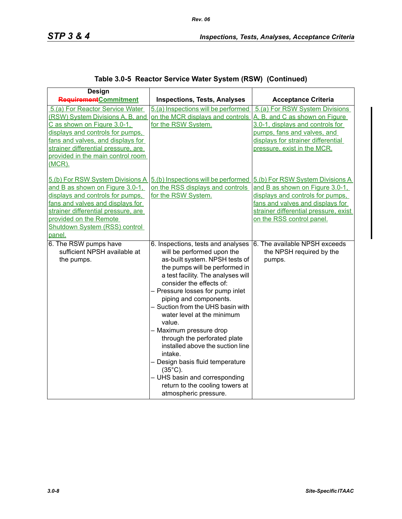|  | Table 3.0-5 Reactor Service Water System (RSW) (Continued) |  |  |  |
|--|------------------------------------------------------------|--|--|--|
|--|------------------------------------------------------------|--|--|--|

| <b>Design</b>                        |                                                                      |                                       |
|--------------------------------------|----------------------------------------------------------------------|---------------------------------------|
| <b>Requirement</b> Commitment        | <b>Inspections, Tests, Analyses</b>                                  | <b>Acceptance Criteria</b>            |
| 5.(a) For Reactor Service Water      | 5.(a) Inspections will be performed                                  | 5.(a) For RSW System Divisions        |
| (RSW) System Divisions A, B, and     | on the MCR displays and controls                                     | A, B, and C as shown on Figure        |
| C as shown on Figure 3.0-1,          | for the RSW System.                                                  | 3.0-1, displays and controls for      |
| displays and controls for pumps.     |                                                                      | pumps, fans and valves, and           |
| fans and valves, and displays for    |                                                                      | displays for strainer differential    |
| strainer differential pressure, are  |                                                                      | pressure, exist in the MCR.           |
| provided in the main control room    |                                                                      |                                       |
| $(MCR)$ .                            |                                                                      |                                       |
|                                      | 5.(b) For RSW System Divisions A 5.(b) Inspections will be performed | 5.(b) For RSW System Divisions A      |
| and B as shown on Figure 3.0-1,      | on the RSS displays and controls                                     | and B as shown on Figure 3.0-1,       |
| displays and controls for pumps.     | for the RSW System.                                                  | displays and controls for pumps,      |
| fans and valves and displays for     |                                                                      | fans and valves and displays for      |
| strainer differential pressure, are  |                                                                      | strainer differential pressure, exist |
| provided on the Remote               |                                                                      | on the RSS control panel.             |
| <b>Shutdown System (RSS) control</b> |                                                                      |                                       |
| panel.                               |                                                                      |                                       |
| 6. The RSW pumps have                | 6. Inspections, tests and analyses                                   | 6. The available NPSH exceeds         |
| sufficient NPSH available at         | will be performed upon the                                           | the NPSH required by the              |
| the pumps.                           | as-built system. NPSH tests of                                       | pumps.                                |
|                                      | the pumps will be performed in                                       |                                       |
|                                      | a test facility. The analyses will                                   |                                       |
|                                      | consider the effects of:                                             |                                       |
|                                      | - Pressure losses for pump inlet                                     |                                       |
|                                      | piping and components.                                               |                                       |
|                                      | - Suction from the UHS basin with                                    |                                       |
|                                      | water level at the minimum                                           |                                       |
|                                      | value.                                                               |                                       |
|                                      | - Maximum pressure drop                                              |                                       |
|                                      | through the perforated plate                                         |                                       |
|                                      | installed above the suction line                                     |                                       |
|                                      | intake.                                                              |                                       |
|                                      | - Design basis fluid temperature<br>$(35^{\circ}C)$ .                |                                       |
|                                      | - UHS basin and corresponding                                        |                                       |
|                                      | return to the cooling towers at                                      |                                       |
|                                      | atmospheric pressure.                                                |                                       |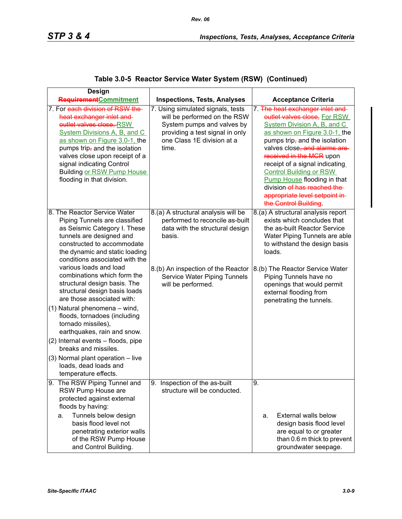| <b>Design</b>                                                                                                                                                                                                                                                                                                                                                                                                                                                                                                                                                                                                                         |                                                                                                                                                                                                                 |                                                                                                                                                                                                                                                                                                                                                                                                                                   |
|---------------------------------------------------------------------------------------------------------------------------------------------------------------------------------------------------------------------------------------------------------------------------------------------------------------------------------------------------------------------------------------------------------------------------------------------------------------------------------------------------------------------------------------------------------------------------------------------------------------------------------------|-----------------------------------------------------------------------------------------------------------------------------------------------------------------------------------------------------------------|-----------------------------------------------------------------------------------------------------------------------------------------------------------------------------------------------------------------------------------------------------------------------------------------------------------------------------------------------------------------------------------------------------------------------------------|
| <b>Requirement</b> Commitment                                                                                                                                                                                                                                                                                                                                                                                                                                                                                                                                                                                                         | <b>Inspections, Tests, Analyses</b>                                                                                                                                                                             | <b>Acceptance Criteria</b>                                                                                                                                                                                                                                                                                                                                                                                                        |
| 7. For each division of RSW the-<br>heat exchanger inlet and<br>outlet valves close, RSW<br>System Divisions A, B, and C<br>as shown on Figure 3.0-1, the<br>pumps trip, and the isolation<br>valves close upon receipt of a<br>signal indicating Control<br><b>Building or RSW Pump House</b><br>flooding in that division.                                                                                                                                                                                                                                                                                                          | 7. Using simulated signals, tests<br>will be performed on the RSW<br>System pumps and valves by<br>providing a test signal in only<br>one Class 1E division at a<br>time.                                       | 7. The heat exchanger inlet and<br>outlet valves close, For RSW<br>System Division A, B, and C<br>as shown on Figure 3.0-1, the<br>pumps trip, and the isolation<br>valves close, and alarms are<br>received in the MCR upon<br>receipt of a signal indicating<br><b>Control Building or RSW</b><br><b>Pump House flooding in that</b><br>division-of has reached the-<br>appropriate level setpoint in-<br>the Control Building. |
| 8. The Reactor Service Water<br>Piping Tunnels are classified<br>as Seismic Category I. These<br>tunnels are designed and<br>constructed to accommodate<br>the dynamic and static loading<br>conditions associated with the<br>various loads and load<br>combinations which form the<br>structural design basis. The<br>structural design basis loads<br>are those associated with:<br>(1) Natural phenomena - wind,<br>floods, tornadoes (including<br>tornado missiles),<br>earthquakes, rain and snow.<br>(2) Internal events - floods, pipe<br>breaks and missiles.<br>(3) Normal plant operation - live<br>loads, dead loads and | 8.(a) A structural analysis will be<br>performed to reconcile as-built<br>data with the structural design<br>basis.<br>8.(b) An inspection of the Reactor<br>Service Water Piping Tunnels<br>will be performed. | 8.(a) A structural analysis report<br>exists which concludes that<br>the as-built Reactor Service<br>Water Piping Tunnels are able<br>to withstand the design basis<br>loads.<br>8.(b) The Reactor Service Water<br>Piping Tunnels have no<br>openings that would permit<br>external flooding from<br>penetrating the tunnels.                                                                                                    |
| temperature effects.<br>9. The RSW Piping Tunnel and<br>RSW Pump House are<br>protected against external<br>floods by having:<br>Tunnels below design<br>a.<br>basis flood level not<br>penetrating exterior walls<br>of the RSW Pump House<br>and Control Building.                                                                                                                                                                                                                                                                                                                                                                  | 9. Inspection of the as-built<br>structure will be conducted.                                                                                                                                                   | 9.<br>External walls below<br>a.<br>design basis flood level<br>are equal to or greater<br>than 0.6 m thick to prevent<br>groundwater seepage.                                                                                                                                                                                                                                                                                    |

## **Table 3.0-5 Reactor Service Water System (RSW) (Continued)**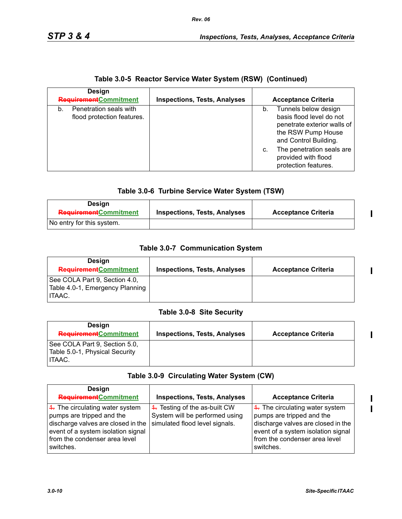| <b>Design</b>                                              |                                     |                                                                                                                                                                                                                  |
|------------------------------------------------------------|-------------------------------------|------------------------------------------------------------------------------------------------------------------------------------------------------------------------------------------------------------------|
| <b>Requirement</b> Commitment                              | <b>Inspections, Tests, Analyses</b> | <b>Acceptance Criteria</b>                                                                                                                                                                                       |
| Penetration seals with<br>b.<br>flood protection features. |                                     | Tunnels below design<br>basis flood level do not<br>penetrate exterior walls of<br>the RSW Pump House<br>and Control Building.<br>The penetration seals are<br>C.<br>provided with flood<br>protection features. |

#### **Table 3.0-6 Turbine Service Water System (TSW)**

| <b>Design</b><br><b>Requirement</b> Commitment | <b>Inspections, Tests, Analyses</b> | <b>Acceptance Criteria</b> |
|------------------------------------------------|-------------------------------------|----------------------------|
| No entry for this system.                      |                                     |                            |

#### **Table 3.0-7 Communication System**

| Design<br><b>Requirement</b> Commitment                                    | <b>Inspections, Tests, Analyses</b> | <b>Acceptance Criteria</b> |
|----------------------------------------------------------------------------|-------------------------------------|----------------------------|
| See COLA Part 9, Section 4.0,<br>Table 4.0-1, Emergency Planning<br>ITAAC. |                                     |                            |

#### **Table 3.0-8 Site Security**

| Design<br><b>Requirement</b> Commitment                                   | <b>Inspections, Tests, Analyses</b> | <b>Acceptance Criteria</b> |
|---------------------------------------------------------------------------|-------------------------------------|----------------------------|
| See COLA Part 9, Section 5.0,<br>Table 5.0-1, Physical Security<br>ITAAC. |                                     |                            |

#### **Table 3.0-9 Circulating Water System (CW)**

| Design                                                                                                                                                                                              |                                                                                                   |                                                                                                                                                                                                     |
|-----------------------------------------------------------------------------------------------------------------------------------------------------------------------------------------------------|---------------------------------------------------------------------------------------------------|-----------------------------------------------------------------------------------------------------------------------------------------------------------------------------------------------------|
| <b>Requirement</b> Commitment                                                                                                                                                                       | <b>Inspections, Tests, Analyses</b>                                                               | <b>Acceptance Criteria</b>                                                                                                                                                                          |
| $\frac{4}{1}$ . The circulating water system<br>pumps are tripped and the<br>discharge valves are closed in the<br>event of a system isolation signal<br>from the condenser area level<br>switches. | 4. Testing of the as-built CW<br>System will be performed using<br>simulated flood level signals. | $\frac{4}{1}$ . The circulating water system<br>pumps are tripped and the<br>discharge valves are closed in the<br>event of a system isolation signal<br>from the condenser area level<br>switches. |

 $\mathbf{l}$ 

 $\mathbf{I}$ 

 $\mathbf{I}$ 

I  $\overline{\phantom{a}}$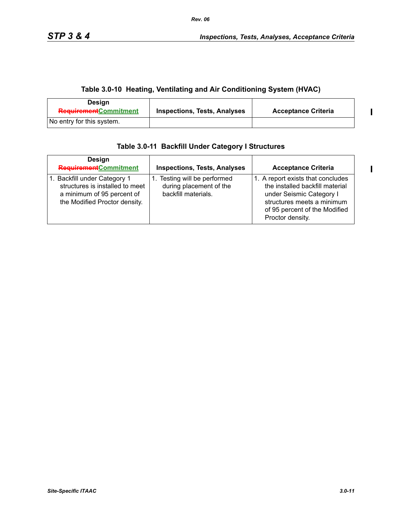## **Table 3.0-10 Heating, Ventilating and Air Conditioning System (HVAC)**

| Design<br><b>Requirement</b> Commitment | <b>Inspections, Tests, Analyses</b> | <b>Acceptance Criteria</b> |
|-----------------------------------------|-------------------------------------|----------------------------|
| No entry for this system.               |                                     |                            |

| <b>Design</b><br><b>Requirement</b> Commitment                                                                                 | <b>Inspections, Tests, Analyses</b>                                            | <b>Acceptance Criteria</b>                                                                                                                                                          |
|--------------------------------------------------------------------------------------------------------------------------------|--------------------------------------------------------------------------------|-------------------------------------------------------------------------------------------------------------------------------------------------------------------------------------|
| 1. Backfill under Category 1<br>structures is installed to meet<br>a minimum of 95 percent of<br>the Modified Proctor density. | 1. Testing will be performed<br>during placement of the<br>backfill materials. | 1. A report exists that concludes<br>the installed backfill material<br>under Seismic Category I<br>structures meets a minimum<br>of 95 percent of the Modified<br>Proctor density. |

 $\blacksquare$ 

 $\mathbf{l}$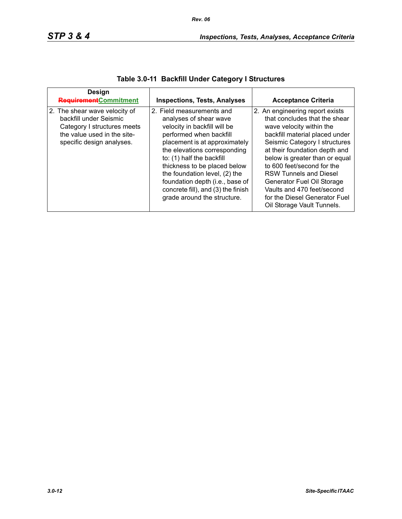| Design<br>RequirementCommitment                                                                                                                    | <b>Inspections, Tests, Analyses</b>                                                                                                                                                                                                                                                                                                                                                   | <b>Acceptance Criteria</b>                                                                                                                                                                                                                                                                                                                                                                                                   |
|----------------------------------------------------------------------------------------------------------------------------------------------------|---------------------------------------------------------------------------------------------------------------------------------------------------------------------------------------------------------------------------------------------------------------------------------------------------------------------------------------------------------------------------------------|------------------------------------------------------------------------------------------------------------------------------------------------------------------------------------------------------------------------------------------------------------------------------------------------------------------------------------------------------------------------------------------------------------------------------|
| 2. The shear wave velocity of<br>backfill under Seismic<br>Category I structures meets<br>the value used in the site-<br>specific design analyses. | 2. Field measurements and<br>analyses of shear wave<br>velocity in backfill will be<br>performed when backfill<br>placement is at approximately<br>the elevations corresponding<br>to: (1) half the backfill<br>thickness to be placed below<br>the foundation level, (2) the<br>foundation depth (i.e., base of<br>concrete fill), and (3) the finish<br>grade around the structure. | 2. An engineering report exists<br>that concludes that the shear<br>wave velocity within the<br>backfill material placed under<br>Seismic Category I structures<br>at their foundation depth and<br>below is greater than or equal<br>to 600 feet/second for the<br><b>RSW Tunnels and Diesel</b><br>Generator Fuel Oil Storage<br>Vaults and 470 feet/second<br>for the Diesel Generator Fuel<br>Oil Storage Vault Tunnels. |

# **Table 3.0-11 Backfill Under Category I Structures**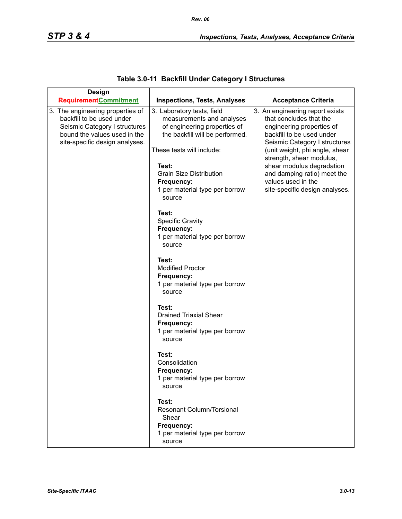| <b>Design</b>                                                                                                                                                    |                                                                                                                                                                                                                                                              |                                                                                                                                                                                                                                                                                                                                         |
|------------------------------------------------------------------------------------------------------------------------------------------------------------------|--------------------------------------------------------------------------------------------------------------------------------------------------------------------------------------------------------------------------------------------------------------|-----------------------------------------------------------------------------------------------------------------------------------------------------------------------------------------------------------------------------------------------------------------------------------------------------------------------------------------|
| RequirementCommitment                                                                                                                                            | <b>Inspections, Tests, Analyses</b>                                                                                                                                                                                                                          | <b>Acceptance Criteria</b>                                                                                                                                                                                                                                                                                                              |
| 3. The engineering properties of<br>backfill to be used under<br>Seismic Category I structures<br>bound the values used in the<br>site-specific design analyses. | 3. Laboratory tests, field<br>measurements and analyses<br>of engineering properties of<br>the backfill will be performed.<br>These tests will include:<br>Test:<br><b>Grain Size Distribution</b><br>Frequency:<br>1 per material type per borrow<br>source | 3. An engineering report exists<br>that concludes that the<br>engineering properties of<br>backfill to be used under<br>Seismic Category I structures<br>(unit weight, phi angle, shear<br>strength, shear modulus,<br>shear modulus degradation<br>and damping ratio) meet the<br>values used in the<br>site-specific design analyses. |
|                                                                                                                                                                  | Test:<br><b>Specific Gravity</b><br>Frequency:<br>1 per material type per borrow<br>source                                                                                                                                                                   |                                                                                                                                                                                                                                                                                                                                         |
|                                                                                                                                                                  | Test:<br><b>Modified Proctor</b><br>Frequency:<br>1 per material type per borrow<br>source                                                                                                                                                                   |                                                                                                                                                                                                                                                                                                                                         |
|                                                                                                                                                                  | Test:<br><b>Drained Triaxial Shear</b><br>Frequency:<br>1 per material type per borrow<br>source                                                                                                                                                             |                                                                                                                                                                                                                                                                                                                                         |
|                                                                                                                                                                  | Test:<br>Consolidation<br>Frequency:<br>1 per material type per borrow<br>source                                                                                                                                                                             |                                                                                                                                                                                                                                                                                                                                         |
|                                                                                                                                                                  | Test:<br><b>Resonant Column/Torsional</b><br>Shear<br>Frequency:<br>1 per material type per borrow<br>source                                                                                                                                                 |                                                                                                                                                                                                                                                                                                                                         |

# **Table 3.0-11 Backfill Under Category I Structures**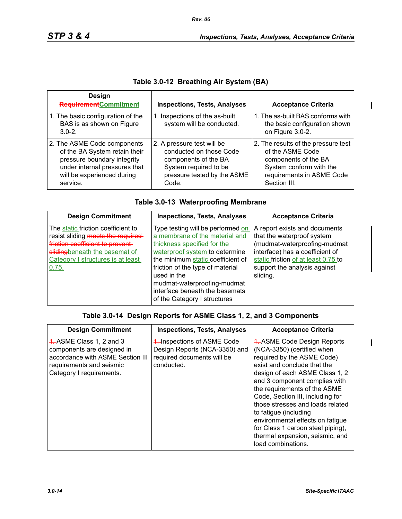$\mathbf{I}$ 

|  |  | Table 3.0-12  Breathing Air System (BA) |  |
|--|--|-----------------------------------------|--|
|--|--|-----------------------------------------|--|

| <b>Design</b><br><b>Requirement</b> Commitment                                                                                                                         | <b>Inspections, Tests, Analyses</b>                                                                                                            | <b>Acceptance Criteria</b>                                                                                                                              |
|------------------------------------------------------------------------------------------------------------------------------------------------------------------------|------------------------------------------------------------------------------------------------------------------------------------------------|---------------------------------------------------------------------------------------------------------------------------------------------------------|
| 1. The basic configuration of the<br>BAS is as shown on Figure<br>$3.0 - 2.$                                                                                           | 1. Inspections of the as-built<br>system will be conducted.                                                                                    | 1. The as-built BAS conforms with<br>the basic configuration shown<br>on Figure 3.0-2.                                                                  |
| 2. The ASME Code components<br>of the BA System retain their<br>pressure boundary integrity<br>under internal pressures that<br>will be experienced during<br>service. | 2. A pressure test will be<br>conducted on those Code<br>components of the BA<br>System required to be<br>pressure tested by the ASME<br>Code. | 2. The results of the pressure test<br>of the ASME Code<br>components of the BA<br>System conform with the<br>requirements in ASME Code<br>Section III. |

#### **Table 3.0-13 Waterproofing Membrane**

| <b>Design Commitment</b>                                                                                                                                                                   | <b>Inspections, Tests, Analyses</b>                                                                                                                                                                                                                                                                                           | <b>Acceptance Criteria</b>                                                                                                                                                                                        |
|--------------------------------------------------------------------------------------------------------------------------------------------------------------------------------------------|-------------------------------------------------------------------------------------------------------------------------------------------------------------------------------------------------------------------------------------------------------------------------------------------------------------------------------|-------------------------------------------------------------------------------------------------------------------------------------------------------------------------------------------------------------------|
| The static friction coefficient to<br>resist sliding meets the required-<br>friction coefficient to prevent<br>slidingbeneath the basemat of<br>Category I structures is at least<br>0.75. | Type testing will be performed on<br>a membrane of the material and<br>thickness specified for the<br>waterproof system to determine<br>the minimum static coefficient of<br>friction of the type of material<br>used in the<br>mudmat-waterproofing-mudmat<br>interface beneath the basemats<br>of the Category I structures | A report exists and documents<br>that the waterproof system<br>(mudmat-waterproofing-mudmat<br>interface) has a coefficient of<br>static friction of at least 0.75 to<br>support the analysis against<br>sliding. |

# **Table 3.0-14 Design Reports for ASME Class 1, 2, and 3 Components**

| <b>Design Commitment</b>                                                                                                                           | <b>Inspections, Tests, Analyses</b>                                                                      | <b>Acceptance Criteria</b>                                                                                                                                                                                                                                                                                                                                                                                                                                   |
|----------------------------------------------------------------------------------------------------------------------------------------------------|----------------------------------------------------------------------------------------------------------|--------------------------------------------------------------------------------------------------------------------------------------------------------------------------------------------------------------------------------------------------------------------------------------------------------------------------------------------------------------------------------------------------------------------------------------------------------------|
| 1. ASME Class 1, 2 and 3<br>components are designed in<br>accordance with ASME Section III<br>requirements and seismic<br>Category I requirements. | 4. Inspections of ASME Code<br>Design Reports (NCA-3350) and<br>required documents will be<br>conducted. | 4. ASME Code Design Reports<br>(NCA-3350) (certified when<br>required by the ASME Code)<br>exist and conclude that the<br>design of each ASME Class 1, 2<br>and 3 component complies with<br>the requirements of the ASME<br>Code, Section III, including for<br>those stresses and loads related<br>to fatigue (including<br>environmental effects on fatigue<br>for Class 1 carbon steel piping),<br>thermal expansion, seismic, and<br>load combinations. |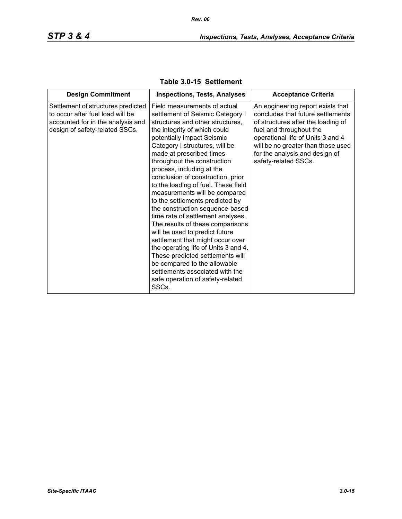| <b>Design Commitment</b>                                                                                                                      | <b>Inspections, Tests, Analyses</b>                                                                                                                                                                                                                                                                                                                                                                                                                                                                                                                                                                                                                                                                                                                                                                                        | <b>Acceptance Criteria</b>                                                                                                                                                                                                                                                   |
|-----------------------------------------------------------------------------------------------------------------------------------------------|----------------------------------------------------------------------------------------------------------------------------------------------------------------------------------------------------------------------------------------------------------------------------------------------------------------------------------------------------------------------------------------------------------------------------------------------------------------------------------------------------------------------------------------------------------------------------------------------------------------------------------------------------------------------------------------------------------------------------------------------------------------------------------------------------------------------------|------------------------------------------------------------------------------------------------------------------------------------------------------------------------------------------------------------------------------------------------------------------------------|
| Settlement of structures predicted<br>to occur after fuel load will be<br>accounted for in the analysis and<br>design of safety-related SSCs. | Field measurements of actual<br>settlement of Seismic Category I<br>structures and other structures,<br>the integrity of which could<br>potentially impact Seismic<br>Category I structures, will be<br>made at prescribed times<br>throughout the construction<br>process, including at the<br>conclusion of construction, prior<br>to the loading of fuel. These field<br>measurements will be compared<br>to the settlements predicted by<br>the construction sequence-based<br>time rate of settlement analyses.<br>The results of these comparisons<br>will be used to predict future<br>settlement that might occur over<br>the operating life of Units 3 and 4.<br>These predicted settlements will<br>be compared to the allowable<br>settlements associated with the<br>safe operation of safety-related<br>SSCs. | An engineering report exists that<br>concludes that future settlements<br>of structures after the loading of<br>fuel and throughout the<br>operational life of Units 3 and 4<br>will be no greater than those used<br>for the analysis and design of<br>safety-related SSCs. |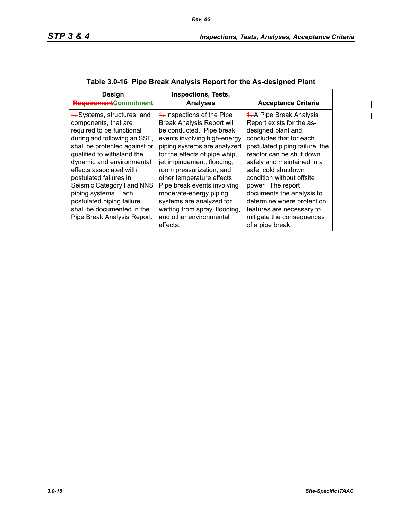$\begin{array}{c} \rule{0pt}{2.5ex} \rule{0pt}{2.5ex} \rule{0pt}{2.5ex} \rule{0pt}{2.5ex} \rule{0pt}{2.5ex} \rule{0pt}{2.5ex} \rule{0pt}{2.5ex} \rule{0pt}{2.5ex} \rule{0pt}{2.5ex} \rule{0pt}{2.5ex} \rule{0pt}{2.5ex} \rule{0pt}{2.5ex} \rule{0pt}{2.5ex} \rule{0pt}{2.5ex} \rule{0pt}{2.5ex} \rule{0pt}{2.5ex} \rule{0pt}{2.5ex} \rule{0pt}{2.5ex} \rule{0pt}{2.5ex} \rule{0$  $\mathbf{I}$ 

| Design<br><b>Requirement</b> Commitment                                                                                                                                                                                                                                                                                                                                                                           | <b>Inspections, Tests,</b><br><b>Analyses</b>                                                                                                                                                                                                                                                                                                                                                                                                    | <b>Acceptance Criteria</b>                                                                                                                                                                                                                                                                                                                                                                                                  |
|-------------------------------------------------------------------------------------------------------------------------------------------------------------------------------------------------------------------------------------------------------------------------------------------------------------------------------------------------------------------------------------------------------------------|--------------------------------------------------------------------------------------------------------------------------------------------------------------------------------------------------------------------------------------------------------------------------------------------------------------------------------------------------------------------------------------------------------------------------------------------------|-----------------------------------------------------------------------------------------------------------------------------------------------------------------------------------------------------------------------------------------------------------------------------------------------------------------------------------------------------------------------------------------------------------------------------|
| 4. Systems, structures, and<br>components, that are<br>required to be functional<br>during and following an SSE,<br>shall be protected against or<br>qualified to withstand the<br>dynamic and environmental<br>effects associated with<br>postulated failures in<br>Seismic Category I and NNS<br>piping systems. Each<br>postulated piping failure<br>shall be documented in the<br>Pipe Break Analysis Report. | 4. Inspections of the Pipe<br><b>Break Analysis Report will</b><br>be conducted. Pipe break<br>events involving high-energy<br>piping systems are analyzed<br>for the effects of pipe whip,<br>jet impingement, flooding,<br>room pressurization, and<br>other temperature effects.<br>Pipe break events involving<br>moderate-energy piping<br>systems are analyzed for<br>wetting from spray, flooding,<br>and other environmental<br>effects. | <b>4. A Pipe Break Analysis</b><br>Report exists for the as-<br>designed plant and<br>concludes that for each<br>postulated piping failure, the<br>reactor can be shut down<br>safely and maintained in a<br>safe, cold shutdown<br>condition without offsite<br>power. The report<br>documents the analysis to<br>determine where protection<br>features are necessary to<br>mitigate the consequences<br>of a pipe break. |

# **Table 3.0-16 Pipe Break Analysis Report for the As-designed Plant**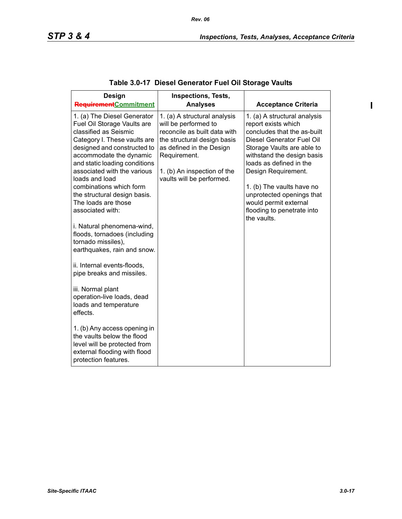| <b>Design</b><br>RequirementCommitment                                                                                                                                                                                                                                                                                                                                                                                                                                                                                                                                                                                                                                                                                                                                     | <b>Inspections, Tests,</b><br><b>Analyses</b>                                                                                                                                                                               | <b>Acceptance Criteria</b>                                                                                                                                                                                                                                                                                                                                    |
|----------------------------------------------------------------------------------------------------------------------------------------------------------------------------------------------------------------------------------------------------------------------------------------------------------------------------------------------------------------------------------------------------------------------------------------------------------------------------------------------------------------------------------------------------------------------------------------------------------------------------------------------------------------------------------------------------------------------------------------------------------------------------|-----------------------------------------------------------------------------------------------------------------------------------------------------------------------------------------------------------------------------|---------------------------------------------------------------------------------------------------------------------------------------------------------------------------------------------------------------------------------------------------------------------------------------------------------------------------------------------------------------|
| 1. (a) The Diesel Generator<br>Fuel Oil Storage Vaults are<br>classified as Seismic<br>Category I. These vaults are<br>designed and constructed to<br>accommodate the dynamic<br>and static loading conditions<br>associated with the various<br>loads and load<br>combinations which form<br>the structural design basis.<br>The loads are those<br>associated with:<br>i. Natural phenomena-wind,<br>floods, tornadoes (including<br>tornado missiles),<br>earthquakes, rain and snow.<br>ii. Internal events-floods,<br>pipe breaks and missiles.<br>iii. Normal plant<br>operation-live loads, dead<br>loads and temperature<br>effects.<br>1. (b) Any access opening in<br>the vaults below the flood<br>level will be protected from<br>external flooding with flood | 1. (a) A structural analysis<br>will be performed to<br>reconcile as built data with<br>the structural design basis<br>as defined in the Design<br>Requirement.<br>1. (b) An inspection of the<br>vaults will be performed. | 1. (a) A structural analysis<br>report exists which<br>concludes that the as-built<br>Diesel Generator Fuel Oil<br>Storage Vaults are able to<br>withstand the design basis<br>loads as defined in the<br>Design Requirement.<br>1. (b) The vaults have no<br>unprotected openings that<br>would permit external<br>flooding to penetrate into<br>the vaults. |

# **Table 3.0-17 Diesel Generator Fuel Oil Storage Vaults**

 $\mathbf{l}$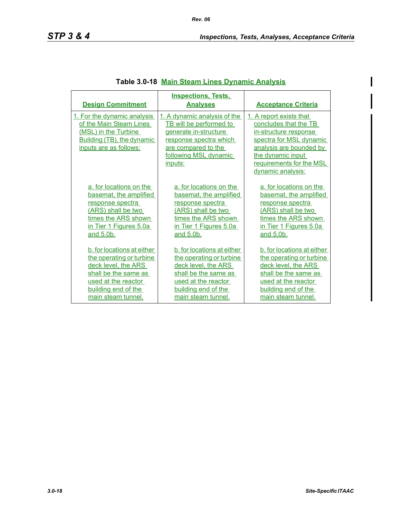$\mathsf{l}$ 

| <b>Design Commitment</b>                                                                                                               | <b>Inspections, Tests.</b><br><b>Analyses</b>                                                                                                                                | <b>Acceptance Criteria</b>                                                                                                                                                                            |
|----------------------------------------------------------------------------------------------------------------------------------------|------------------------------------------------------------------------------------------------------------------------------------------------------------------------------|-------------------------------------------------------------------------------------------------------------------------------------------------------------------------------------------------------|
| 1. For the dynamic analysis<br>of the Main Steam Lines<br>(MSL) in the Turbine<br>Building (TB), the dynamic<br>inputs are as follows: | 1. A dynamic analysis of the<br><b>TB</b> will be performed to<br>generate in-structure<br>response spectra which<br>are compared to the<br>following MSL dynamic<br>inputs: | 1. A report exists that<br>concludes that the TB<br>in-structure response<br>spectra for MSL dynamic<br>analysis are bounded by<br>the dynamic input<br>requirements for the MSL<br>dynamic analysis: |
| a. for locations on the                                                                                                                | a. for locations on the                                                                                                                                                      | a. for locations on the                                                                                                                                                                               |
| basemat, the amplified                                                                                                                 | basemat, the amplified                                                                                                                                                       | basemat, the amplified                                                                                                                                                                                |
| response spectra                                                                                                                       | response spectra                                                                                                                                                             | response spectra                                                                                                                                                                                      |
| (ARS) shall be two                                                                                                                     | (ARS) shall be two                                                                                                                                                           | (ARS) shall be two                                                                                                                                                                                    |
| times the ARS shown                                                                                                                    | times the ARS shown                                                                                                                                                          | times the ARS shown                                                                                                                                                                                   |
| in Tier 1 Figures 5.0a                                                                                                                 | in Tier 1 Figures 5.0a                                                                                                                                                       | in Tier 1 Figures 5.0a                                                                                                                                                                                |
| and 5.0b.                                                                                                                              | and 5.0b.                                                                                                                                                                    | and 5.0b.                                                                                                                                                                                             |
| b. for locations at either                                                                                                             | b. for locations at either                                                                                                                                                   | b. for locations at either                                                                                                                                                                            |
| the operating or turbine                                                                                                               | the operating or turbine                                                                                                                                                     | the operating or turbine                                                                                                                                                                              |
| deck level, the ARS                                                                                                                    | deck level, the ARS                                                                                                                                                          | deck level, the ARS                                                                                                                                                                                   |
| shall be the same as                                                                                                                   | shall be the same as                                                                                                                                                         | shall be the same as                                                                                                                                                                                  |
| used at the reactor                                                                                                                    | used at the reactor                                                                                                                                                          | used at the reactor                                                                                                                                                                                   |
| building end of the                                                                                                                    | building end of the                                                                                                                                                          | building end of the                                                                                                                                                                                   |
| main steam tunnel.                                                                                                                     | main steam tunnel.                                                                                                                                                           | main steam tunnel.                                                                                                                                                                                    |

## **Table 3.0-18 Main Steam Lines Dynamic Analysis**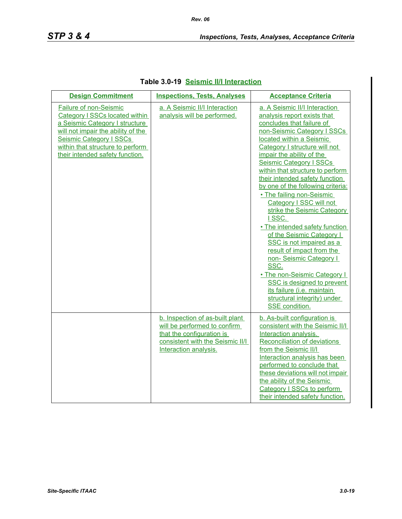| <b>Design Commitment</b>                                                                                                                                                                                                                  | <b>Inspections, Tests, Analyses</b>                                                                                                                       | <b>Acceptance Criteria</b>                                                                                                                                                                                                                                                                                                                                                                                                                                                                                                                                                                                                                                                                                                                                             |
|-------------------------------------------------------------------------------------------------------------------------------------------------------------------------------------------------------------------------------------------|-----------------------------------------------------------------------------------------------------------------------------------------------------------|------------------------------------------------------------------------------------------------------------------------------------------------------------------------------------------------------------------------------------------------------------------------------------------------------------------------------------------------------------------------------------------------------------------------------------------------------------------------------------------------------------------------------------------------------------------------------------------------------------------------------------------------------------------------------------------------------------------------------------------------------------------------|
| <b>Failure of non-Seismic</b><br>Category I SSCs located within<br>a Seismic Category I structure<br>will not impair the ability of the<br>Seismic Category I SSCs<br>within that structure to perform<br>their intended safety function. | a. A Seismic II/I Interaction<br>analysis will be performed.                                                                                              | a. A Seismic II/I Interaction<br>analysis report exists that<br>concludes that failure of<br>non-Seismic Category I SSCs<br>located within a Seismic<br>Category I structure will not<br>impair the ability of the<br><b>Seismic Category I SSCs</b><br>within that structure to perform<br>their intended safety function<br>by one of the following criteria:<br>• The failing non-Seismic<br>Category I SSC will not<br>strike the Seismic Category<br>ISSC.<br>. The intended safety function<br>of the Seismic Category I<br>SSC is not impaired as a<br>result of impact from the<br>non-Seismic Category I<br>SSC.<br>. The non-Seismic Category I<br>SSC is designed to prevent<br>its failure (i.e. maintain<br>structural integrity) under<br>SSE condition. |
|                                                                                                                                                                                                                                           | b. Inspection of as-built plant<br>will be performed to confirm<br>that the configuration is<br>consistent with the Seismic II/I<br>Interaction analysis. | b. As-built configuration is<br>consistent with the Seismic II/I<br>Interaction analysis.<br>Reconciliation of deviations<br>from the Seismic II/I<br>Interaction analysis has been<br>performed to conclude that<br>these deviations will not impair<br>the ability of the Seismic<br>Category I SSCs to perform<br>their intended safety function.                                                                                                                                                                                                                                                                                                                                                                                                                   |

## **Table 3.0-19 Seismic II/I Interaction**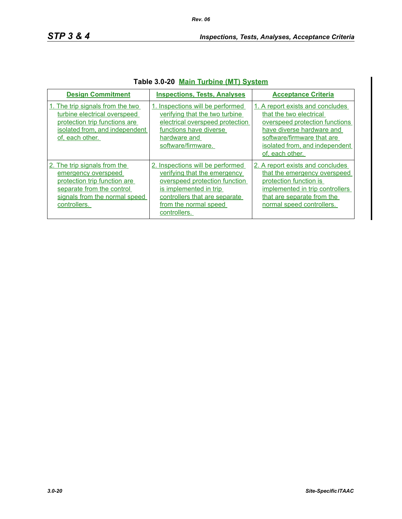| <b>Design Commitment</b>                                                                                                                                          | <b>Inspections, Tests, Analyses</b>                                                                                                                                                                   | <b>Acceptance Criteria</b>                                                                                                                                                                                    |
|-------------------------------------------------------------------------------------------------------------------------------------------------------------------|-------------------------------------------------------------------------------------------------------------------------------------------------------------------------------------------------------|---------------------------------------------------------------------------------------------------------------------------------------------------------------------------------------------------------------|
| 1. The trip signals from the two<br>turbine electrical overspeed<br>protection trip functions are<br>isolated from, and independent<br>of, each other.            | 1. Inspections will be performed<br>verifying that the two turbine<br>electrical overspeed protection<br>functions have diverse<br>hardware and<br>software/firmware.                                 | 1. A report exists and concludes<br>that the two electrical<br>overspeed protection functions<br>have diverse hardware and<br>software/firmware that are<br>isolated from, and independent<br>of, each other. |
| 2. The trip signals from the<br>emergency overspeed<br>protection trip function are<br>separate from the control<br>signals from the normal speed<br>controllers. | 2. Inspections will be performed<br>verifying that the emergency<br>overspeed protection function<br>is implemented in trip<br>controllers that are separate<br>from the normal speed<br>controllers. | 2. A report exists and concludes<br>that the emergency overspeed<br>protection function is<br>implemented in trip controllers<br>that are separate from the<br>normal speed controllers.                      |

## **Table 3.0-20 Main Turbine (MT) System**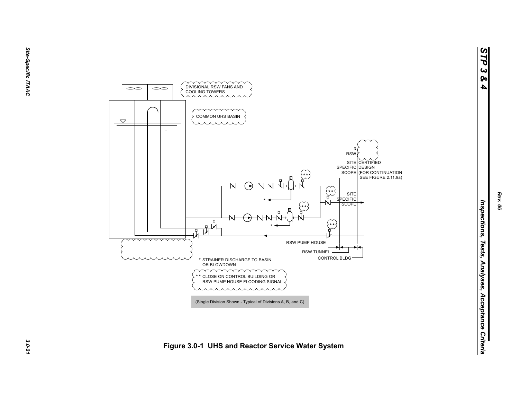